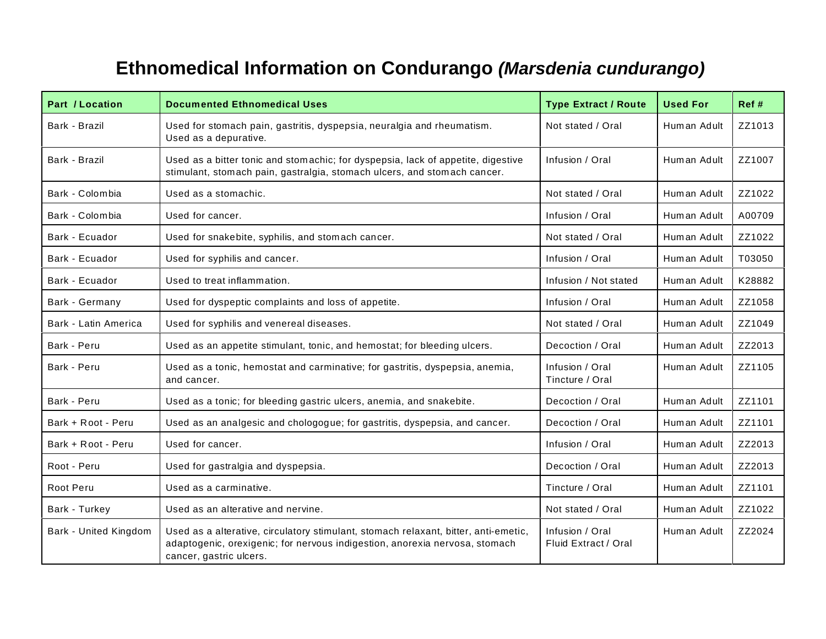## **Ethnomedical Information on Condurango** *(Marsdenia cundurango)*

| Part / Location       | <b>Documented Ethnomedical Uses</b>                                                                                                                                                           | <b>Type Extract / Route</b>             | <b>Used For</b> | Ref #  |
|-----------------------|-----------------------------------------------------------------------------------------------------------------------------------------------------------------------------------------------|-----------------------------------------|-----------------|--------|
| Bark - Brazil         | Used for stomach pain, gastritis, dyspepsia, neuralgia and rheumatism.<br>Used as a depurative.                                                                                               | Not stated / Oral                       | Human Adult     | ZZ1013 |
| Bark - Brazil         | Used as a bitter tonic and stomachic; for dyspepsia, lack of appetite, digestive<br>stimulant, stomach pain, gastralgia, stomach ulcers, and stomach cancer.                                  | Infusion / Oral                         | Human Adult     | ZZ1007 |
| Bark - Colombia       | Used as a stomachic.                                                                                                                                                                          | Not stated / Oral                       | Human Adult     | ZZ1022 |
| Bark - Colombia       | Used for cancer.                                                                                                                                                                              | Infusion / Oral                         | Human Adult     | A00709 |
| Bark - Ecuador        | Used for snakebite, syphilis, and stomach cancer.                                                                                                                                             | Not stated / Oral                       | Human Adult     | ZZ1022 |
| Bark - Ecuador        | Used for syphilis and cancer.                                                                                                                                                                 | Infusion / Oral                         | Human Adult     | T03050 |
| Bark - Ecuador        | Used to treat inflammation.                                                                                                                                                                   | Infusion / Not stated                   | Human Adult     | K28882 |
| Bark - Germany        | Used for dyspeptic complaints and loss of appetite.                                                                                                                                           | Infusion / Oral                         | Human Adult     | ZZ1058 |
| Bark - Latin America  | Used for syphilis and venereal diseases.                                                                                                                                                      | Not stated / Oral                       | Human Adult     | ZZ1049 |
| Bark - Peru           | Used as an appetite stimulant, tonic, and hemostat; for bleeding ulcers.                                                                                                                      | Decoction / Oral                        | Human Adult     | ZZ2013 |
| Bark - Peru           | Used as a tonic, hemostat and carminative; for gastritis, dyspepsia, anemia,<br>and cancer.                                                                                                   | Infusion / Oral<br>Tincture / Oral      | Human Adult     | ZZ1105 |
| Bark - Peru           | Used as a tonic; for bleeding gastric ulcers, anemia, and snakebite.                                                                                                                          | Decoction / Oral                        | Human Adult     | ZZ1101 |
| Bark + Root - Peru    | Used as an analgesic and chologogue; for gastritis, dyspepsia, and cancer.                                                                                                                    | Decoction / Oral                        | Human Adult     | ZZ1101 |
| Bark + Root - Peru    | Used for cancer.                                                                                                                                                                              | Infusion / Oral                         | Human Adult     | ZZ2013 |
| Root - Peru           | Used for gastralgia and dyspepsia.                                                                                                                                                            | Decoction / Oral                        | Human Adult     | ZZ2013 |
| Root Peru             | Used as a carminative.                                                                                                                                                                        | Tincture / Oral                         | Human Adult     | ZZ1101 |
| Bark - Turkey         | Used as an alterative and nervine.                                                                                                                                                            | Not stated / Oral                       | Human Adult     | ZZ1022 |
| Bark - United Kingdom | Used as a alterative, circulatory stimulant, stomach relaxant, bitter, anti-emetic,<br>adaptogenic, orexigenic; for nervous indigestion, anorexia nervosa, stomach<br>cancer, gastric ulcers. | Infusion / Oral<br>Fluid Extract / Oral | Human Adult     | ZZ2024 |